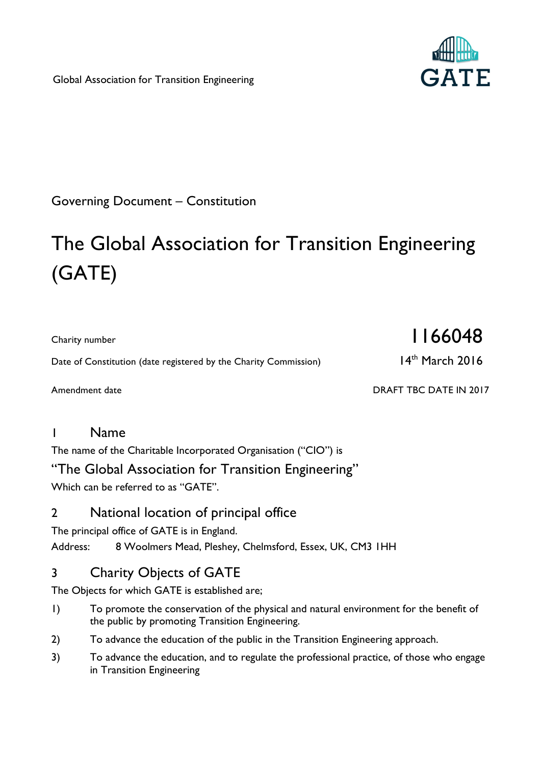

Governing Document – Constitution

# The Global Association for Transition Engineering (GATE)

Charity number **1166048** Date of Constitution (date registered by the Charity Commission) 14<sup>th</sup> March 2016

Amendment date **DRAFT TBC DATE IN 2017** 

## 1 Name

The name of the Charitable Incorporated Organisation ("CIO") is

"The Global Association for Transition Engineering"

Which can be referred to as "GATE".

## 2 National location of principal office

The principal office of GATE is in England.

Address: 8 Woolmers Mead, Pleshey, Chelmsford, Essex, UK, CM3 1HH

## 3 Charity Objects of GATE

The Objects for which GATE is established are;

- 1) To promote the conservation of the physical and natural environment for the benefit of the public by promoting Transition Engineering.
- 2) To advance the education of the public in the Transition Engineering approach.
- 3) To advance the education, and to regulate the professional practice, of those who engage in Transition Engineering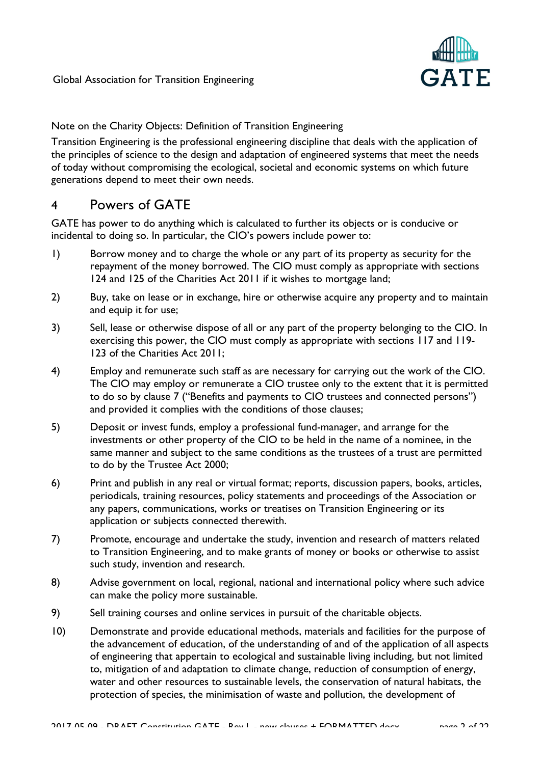

#### Note on the Charity Objects: Definition of Transition Engineering

Transition Engineering is the professional engineering discipline that deals with the application of the principles of science to the design and adaptation of engineered systems that meet the needs of today without compromising the ecological, societal and economic systems on which future generations depend to meet their own needs.

## 4 Powers of GATE

GATE has power to do anything which is calculated to further its objects or is conducive or incidental to doing so. In particular, the CIO's powers include power to:

- 1) Borrow money and to charge the whole or any part of its property as security for the repayment of the money borrowed. The CIO must comply as appropriate with sections 124 and 125 of the Charities Act 2011 if it wishes to mortgage land;
- 2) Buy, take on lease or in exchange, hire or otherwise acquire any property and to maintain and equip it for use;
- 3) Sell, lease or otherwise dispose of all or any part of the property belonging to the CIO. In exercising this power, the CIO must comply as appropriate with sections 117 and 119- 123 of the Charities Act 2011;
- 4) Employ and remunerate such staff as are necessary for carrying out the work of the CIO. The CIO may employ or remunerate a CIO trustee only to the extent that it is permitted to do so by clause 7 ("Benefits and payments to CIO trustees and connected persons") and provided it complies with the conditions of those clauses;
- 5) Deposit or invest funds, employ a professional fund-manager, and arrange for the investments or other property of the CIO to be held in the name of a nominee, in the same manner and subject to the same conditions as the trustees of a trust are permitted to do by the Trustee Act 2000;
- 6) Print and publish in any real or virtual format; reports, discussion papers, books, articles, periodicals, training resources, policy statements and proceedings of the Association or any papers, communications, works or treatises on Transition Engineering or its application or subjects connected therewith.
- 7) Promote, encourage and undertake the study, invention and research of matters related to Transition Engineering, and to make grants of money or books or otherwise to assist such study, invention and research.
- 8) Advise government on local, regional, national and international policy where such advice can make the policy more sustainable.
- 9) Sell training courses and online services in pursuit of the charitable objects.
- 10) Demonstrate and provide educational methods, materials and facilities for the purpose of the advancement of education, of the understanding of and of the application of all aspects of engineering that appertain to ecological and sustainable living including, but not limited to, mitigation of and adaptation to climate change, reduction of consumption of energy, water and other resources to sustainable levels, the conservation of natural habitats, the protection of species, the minimisation of waste and pollution, the development of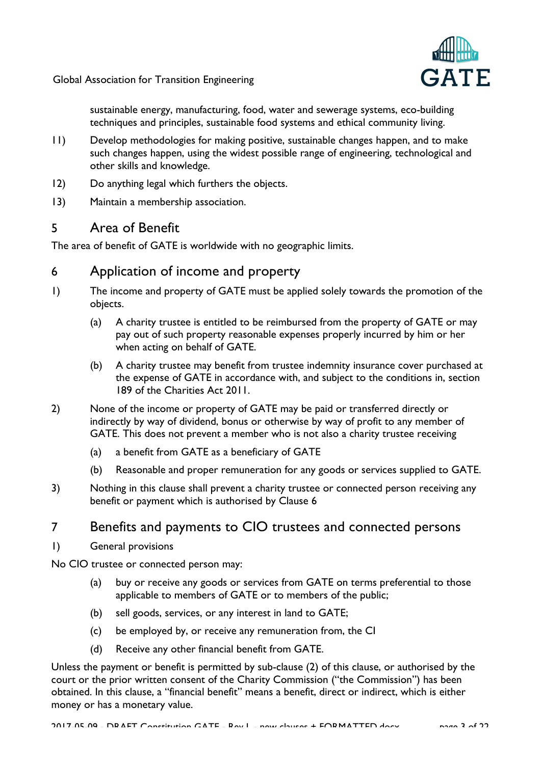sustainable energy, manufacturing, food, water and sewerage systems, eco-building techniques and principles, sustainable food systems and ethical community living.

- 11) Develop methodologies for making positive, sustainable changes happen, and to make such changes happen, using the widest possible range of engineering, technological and other skills and knowledge.
- 12) Do anything legal which furthers the objects.
- 13) Maintain a membership association.

## 5 Area of Benefit

The area of benefit of GATE is worldwide with no geographic limits.

## 6 Application of income and property

- 1) The income and property of GATE must be applied solely towards the promotion of the objects.
	- (a) A charity trustee is entitled to be reimbursed from the property of GATE or may pay out of such property reasonable expenses properly incurred by him or her when acting on behalf of GATE.
	- (b) A charity trustee may benefit from trustee indemnity insurance cover purchased at the expense of GATE in accordance with, and subject to the conditions in, section 189 of the Charities Act 2011.
- 2) None of the income or property of GATE may be paid or transferred directly or indirectly by way of dividend, bonus or otherwise by way of profit to any member of GATE. This does not prevent a member who is not also a charity trustee receiving
	- (a) a benefit from GATE as a beneficiary of GATE
	- (b) Reasonable and proper remuneration for any goods or services supplied to GATE.
- 3) Nothing in this clause shall prevent a charity trustee or connected person receiving any benefit or payment which is authorised by Clause 6

## 7 Benefits and payments to CIO trustees and connected persons

1) General provisions

No CIO trustee or connected person may:

- (a) buy or receive any goods or services from GATE on terms preferential to those applicable to members of GATE or to members of the public;
- (b) sell goods, services, or any interest in land to GATE;
- (c) be employed by, or receive any remuneration from, the CI
- (d) Receive any other financial benefit from GATE.

Unless the payment or benefit is permitted by sub-clause (2) of this clause, or authorised by the court or the prior written consent of the Charity Commission ("the Commission") has been obtained. In this clause, a "financial benefit" means a benefit, direct or indirect, which is either money or has a monetary value.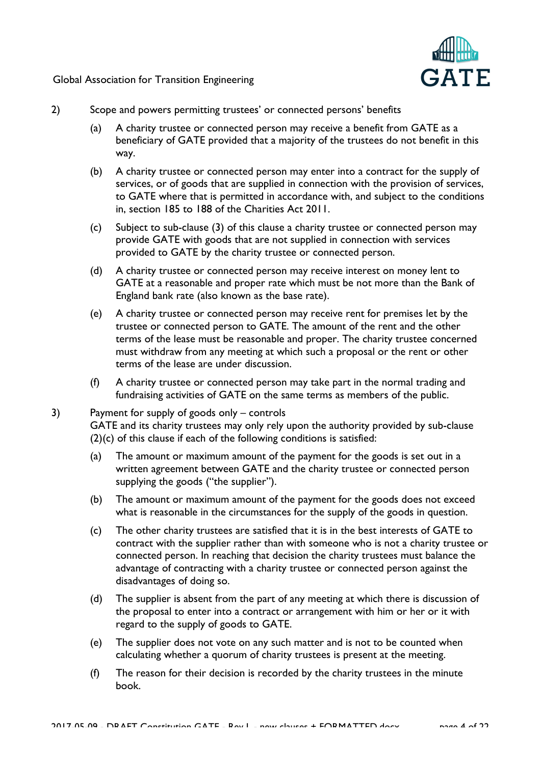

- 2) Scope and powers permitting trustees' or connected persons' benefits
	- (a) A charity trustee or connected person may receive a benefit from GATE as a beneficiary of GATE provided that a majority of the trustees do not benefit in this way.
	- (b) A charity trustee or connected person may enter into a contract for the supply of services, or of goods that are supplied in connection with the provision of services, to GATE where that is permitted in accordance with, and subject to the conditions in, section 185 to 188 of the Charities Act 2011.
	- (c) Subject to sub-clause (3) of this clause a charity trustee or connected person may provide GATE with goods that are not supplied in connection with services provided to GATE by the charity trustee or connected person.
	- (d) A charity trustee or connected person may receive interest on money lent to GATE at a reasonable and proper rate which must be not more than the Bank of England bank rate (also known as the base rate).
	- (e) A charity trustee or connected person may receive rent for premises let by the trustee or connected person to GATE. The amount of the rent and the other terms of the lease must be reasonable and proper. The charity trustee concerned must withdraw from any meeting at which such a proposal or the rent or other terms of the lease are under discussion.
	- (f) A charity trustee or connected person may take part in the normal trading and fundraising activities of GATE on the same terms as members of the public.

#### 3) Payment for supply of goods only – controls

GATE and its charity trustees may only rely upon the authority provided by sub-clause (2)(c) of this clause if each of the following conditions is satisfied:

- (a) The amount or maximum amount of the payment for the goods is set out in a written agreement between GATE and the charity trustee or connected person supplying the goods ("the supplier").
- (b) The amount or maximum amount of the payment for the goods does not exceed what is reasonable in the circumstances for the supply of the goods in question.
- (c) The other charity trustees are satisfied that it is in the best interests of GATE to contract with the supplier rather than with someone who is not a charity trustee or connected person. In reaching that decision the charity trustees must balance the advantage of contracting with a charity trustee or connected person against the disadvantages of doing so.
- (d) The supplier is absent from the part of any meeting at which there is discussion of the proposal to enter into a contract or arrangement with him or her or it with regard to the supply of goods to GATE.
- (e) The supplier does not vote on any such matter and is not to be counted when calculating whether a quorum of charity trustees is present at the meeting.
- (f) The reason for their decision is recorded by the charity trustees in the minute book.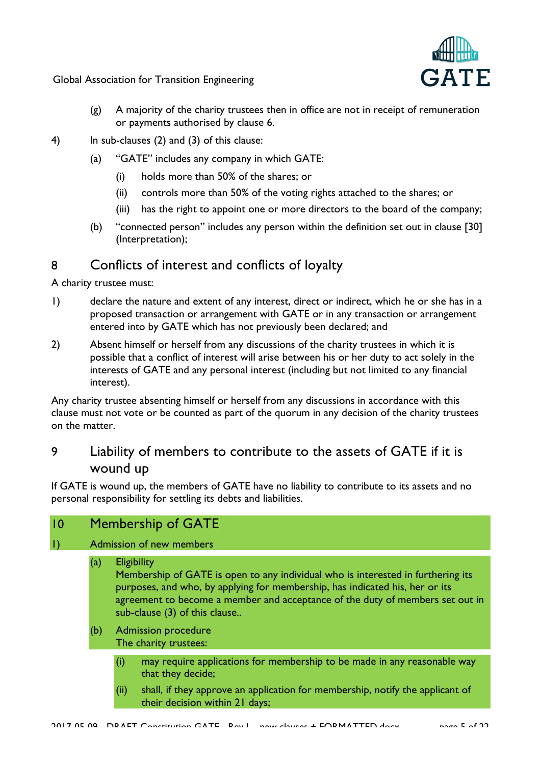- (g) A majority of the charity trustees then in office are not in receipt of remuneration or payments authorised by clause 6.
- 4) In sub-clauses (2) and (3) of this clause:
	- (a) "GATE" includes any company in which GATE:
		- (i) holds more than 50% of the shares; or
		- (ii) controls more than 50% of the voting rights attached to the shares; or
		- (iii) has the right to appoint one or more directors to the board of the company;
	- (b) "connected person" includes any person within the definition set out in clause [30] (Interpretation);

## 8 Conflicts of interest and conflicts of loyalty

A charity trustee must:

- 1) declare the nature and extent of any interest, direct or indirect, which he or she has in a proposed transaction or arrangement with GATE or in any transaction or arrangement entered into by GATE which has not previously been declared; and
- 2) Absent himself or herself from any discussions of the charity trustees in which it is possible that a conflict of interest will arise between his or her duty to act solely in the interests of GATE and any personal interest (including but not limited to any financial interest).

Any charity trustee absenting himself or herself from any discussions in accordance with this clause must not vote or be counted as part of the quorum in any decision of the charity trustees on the matter.

## 9 Liability of members to contribute to the assets of GATE if it is wound up

If GATE is wound up, the members of GATE have no liability to contribute to its assets and no personal responsibility for settling its debts and liabilities.

| $\overline{10}$ | <b>Membership of GATE</b> |                                                                                                                                                                                                                                                                                                   |  |
|-----------------|---------------------------|---------------------------------------------------------------------------------------------------------------------------------------------------------------------------------------------------------------------------------------------------------------------------------------------------|--|
| $\vert$ )       |                           | Admission of new members                                                                                                                                                                                                                                                                          |  |
|                 | (a)                       | Eligibility<br>Membership of GATE is open to any individual who is interested in furthering its<br>purposes, and who, by applying for membership, has indicated his, her or its<br>agreement to become a member and acceptance of the duty of members set out in<br>sub-clause (3) of this clause |  |
|                 | (b)                       | <b>Admission procedure</b><br>The charity trustees:                                                                                                                                                                                                                                               |  |
|                 |                           | may require applications for membership to be made in any reasonable way<br>(i)<br>that they decide;                                                                                                                                                                                              |  |
|                 |                           | shall, if they approve an application for membership, notify the applicant of<br>(ii)<br>their decision within 21 days;                                                                                                                                                                           |  |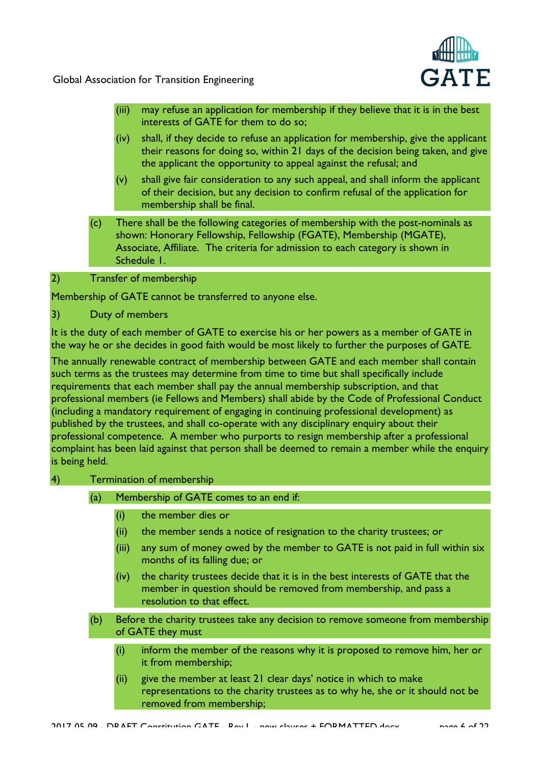

- (iii) may refuse an application for membership if they believe that it is in the best interests of GATE for them to do so;
- (iv) shall, if they decide to refuse an application for membership, give the applicant their reasons for doing so, within 21 days of the decision being taken, and give the applicant the opportunity to appeal against the refusal; and
- (v) shall give fair consideration to any such appeal, and shall inform the applicant of their decision, but any decision to confirm refusal of the application for membership shall be final.
- (c) There shall be the following categories of membership with the post-nominals as shown: Honorary Fellowship, Fellowship (FGATE), Membership (MGATE), Associate, Affiliate. The criteria for admission to each category is shown in Schedule 1.

#### 2) Transfer of membership

Membership of GATE cannot be transferred to anyone else.

3) Duty of members

It is the duty of each member of GATE to exercise his or her powers as a member of GATE in the way he or she decides in good faith would be most likely to further the purposes of GATE.

The annually renewable contract of membership between GATE and each member shall contain such terms as the trustees may determine from time to time but shall specifically include requirements that each member shall pay the annual membership subscription, and that professional members (ie Fellows and Members) shall abide by the Code of Professional Conduct (including a mandatory requirement of engaging in continuing professional development) as published by the trustees, and shall co-operate with any disciplinary enquiry about their professional competence. A member who purports to resign membership after a professional complaint has been laid against that person shall be deemed to remain a member while the enquiry is being held.

#### 4) Termination of membership

#### (a) Membership of GATE comes to an end if:

- (i) the member dies or
- (ii) the member sends a notice of resignation to the charity trustees; or
- (iii) any sum of money owed by the member to GATE is not paid in full within six months of its falling due; or
- (iv) the charity trustees decide that it is in the best interests of GATE that the member in question should be removed from membership, and pass a resolution to that effect.
- (b) Before the charity trustees take any decision to remove someone from membership of GATE they must
	- (i) inform the member of the reasons why it is proposed to remove him, her or it from membership;
	- (ii) give the member at least 21 clear days' notice in which to make representations to the charity trustees as to why he, she or it should not be removed from membership;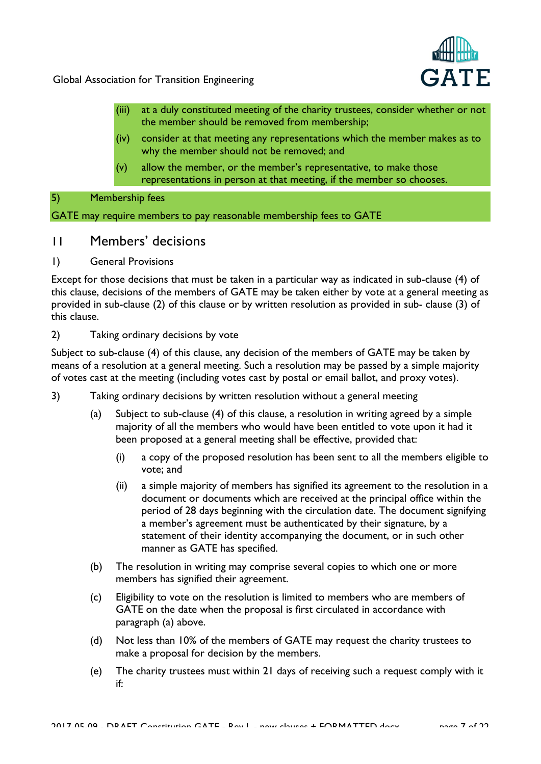- (iii) at a duly constituted meeting of the charity trustees, consider whether or not the member should be removed from membership;
- (iv) consider at that meeting any representations which the member makes as to why the member should not be removed; and
- (v) allow the member, or the member's representative, to make those representations in person at that meeting, if the member so chooses.
- 5) Membership fees

GATE may require members to pay reasonable membership fees to GATE

- 11 Members' decisions
- 1) General Provisions

Except for those decisions that must be taken in a particular way as indicated in sub-clause (4) of this clause, decisions of the members of GATE may be taken either by vote at a general meeting as provided in sub-clause (2) of this clause or by written resolution as provided in sub- clause (3) of this clause.

2) Taking ordinary decisions by vote

Subject to sub-clause (4) of this clause, any decision of the members of GATE may be taken by means of a resolution at a general meeting. Such a resolution may be passed by a simple majority of votes cast at the meeting (including votes cast by postal or email ballot, and proxy votes).

- 3) Taking ordinary decisions by written resolution without a general meeting
	- (a) Subject to sub-clause (4) of this clause, a resolution in writing agreed by a simple majority of all the members who would have been entitled to vote upon it had it been proposed at a general meeting shall be effective, provided that:
		- (i) a copy of the proposed resolution has been sent to all the members eligible to vote; and
		- (ii) a simple majority of members has signified its agreement to the resolution in a document or documents which are received at the principal office within the period of 28 days beginning with the circulation date. The document signifying a member's agreement must be authenticated by their signature, by a statement of their identity accompanying the document, or in such other manner as GATE has specified.
	- (b) The resolution in writing may comprise several copies to which one or more members has signified their agreement.
	- (c) Eligibility to vote on the resolution is limited to members who are members of GATE on the date when the proposal is first circulated in accordance with paragraph (a) above.
	- (d) Not less than 10% of the members of GATE may request the charity trustees to make a proposal for decision by the members.
	- (e) The charity trustees must within 21 days of receiving such a request comply with it if: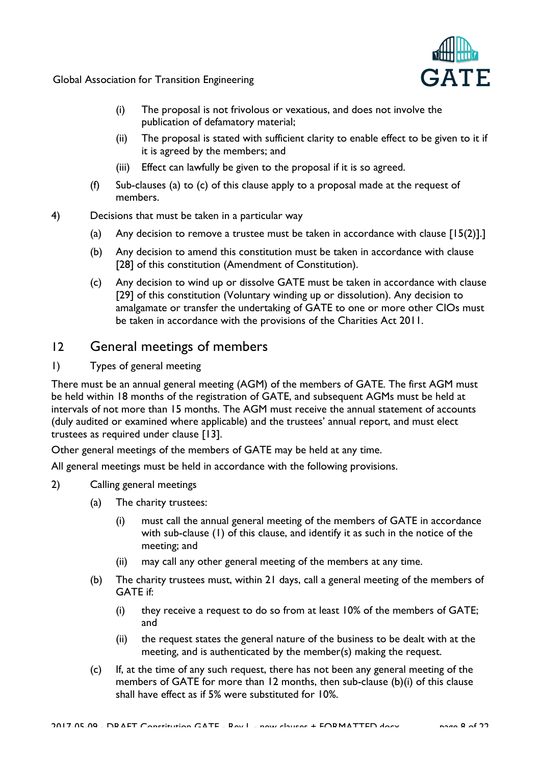

- (i) The proposal is not frivolous or vexatious, and does not involve the publication of defamatory material;
- (ii) The proposal is stated with sufficient clarity to enable effect to be given to it if it is agreed by the members; and
- (iii) Effect can lawfully be given to the proposal if it is so agreed.
- (f) Sub-clauses (a) to (c) of this clause apply to a proposal made at the request of members.
- 4) Decisions that must be taken in a particular way
	- (a) Any decision to remove a trustee must be taken in accordance with clause [15(2)].]
	- (b) Any decision to amend this constitution must be taken in accordance with clause [28] of this constitution (Amendment of Constitution).
	- (c) Any decision to wind up or dissolve GATE must be taken in accordance with clause [29] of this constitution (Voluntary winding up or dissolution). Any decision to amalgamate or transfer the undertaking of GATE to one or more other CIOs must be taken in accordance with the provisions of the Charities Act 2011.

## 12 General meetings of members

1) Types of general meeting

There must be an annual general meeting (AGM) of the members of GATE. The first AGM must be held within 18 months of the registration of GATE, and subsequent AGMs must be held at intervals of not more than 15 months. The AGM must receive the annual statement of accounts (duly audited or examined where applicable) and the trustees' annual report, and must elect trustees as required under clause [13].

Other general meetings of the members of GATE may be held at any time.

All general meetings must be held in accordance with the following provisions.

- 2) Calling general meetings
	- (a) The charity trustees:
		- (i) must call the annual general meeting of the members of GATE in accordance with sub-clause (1) of this clause, and identify it as such in the notice of the meeting; and
		- (ii) may call any other general meeting of the members at any time.
	- (b) The charity trustees must, within 21 days, call a general meeting of the members of GATE if:
		- (i) they receive a request to do so from at least 10% of the members of GATE; and
		- (ii) the request states the general nature of the business to be dealt with at the meeting, and is authenticated by the member(s) making the request.
	- (c) If, at the time of any such request, there has not been any general meeting of the members of GATE for more than 12 months, then sub-clause (b)(i) of this clause shall have effect as if 5% were substituted for 10%.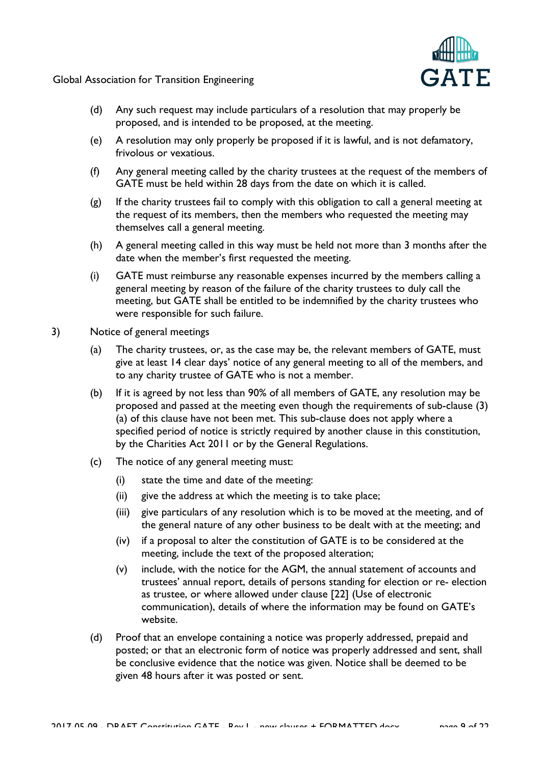

- (d) Any such request may include particulars of a resolution that may properly be proposed, and is intended to be proposed, at the meeting.
- (e) A resolution may only properly be proposed if it is lawful, and is not defamatory, frivolous or vexatious.
- (f) Any general meeting called by the charity trustees at the request of the members of GATE must be held within 28 days from the date on which it is called.
- (g) If the charity trustees fail to comply with this obligation to call a general meeting at the request of its members, then the members who requested the meeting may themselves call a general meeting.
- (h) A general meeting called in this way must be held not more than 3 months after the date when the member's first requested the meeting.
- (i) GATE must reimburse any reasonable expenses incurred by the members calling a general meeting by reason of the failure of the charity trustees to duly call the meeting, but GATE shall be entitled to be indemnified by the charity trustees who were responsible for such failure.
- 3) Notice of general meetings
	- (a) The charity trustees, or, as the case may be, the relevant members of GATE, must give at least 14 clear days' notice of any general meeting to all of the members, and to any charity trustee of GATE who is not a member.
	- (b) If it is agreed by not less than 90% of all members of GATE, any resolution may be proposed and passed at the meeting even though the requirements of sub-clause (3) (a) of this clause have not been met. This sub-clause does not apply where a specified period of notice is strictly required by another clause in this constitution, by the Charities Act 2011 or by the General Regulations.
	- (c) The notice of any general meeting must:
		- (i) state the time and date of the meeting:
		- (ii) give the address at which the meeting is to take place;
		- (iii) give particulars of any resolution which is to be moved at the meeting, and of the general nature of any other business to be dealt with at the meeting; and
		- (iv) if a proposal to alter the constitution of GATE is to be considered at the meeting, include the text of the proposed alteration;
		- (v) include, with the notice for the AGM, the annual statement of accounts and trustees' annual report, details of persons standing for election or re- election as trustee, or where allowed under clause [22] (Use of electronic communication), details of where the information may be found on GATE's website.
	- (d) Proof that an envelope containing a notice was properly addressed, prepaid and posted; or that an electronic form of notice was properly addressed and sent, shall be conclusive evidence that the notice was given. Notice shall be deemed to be given 48 hours after it was posted or sent.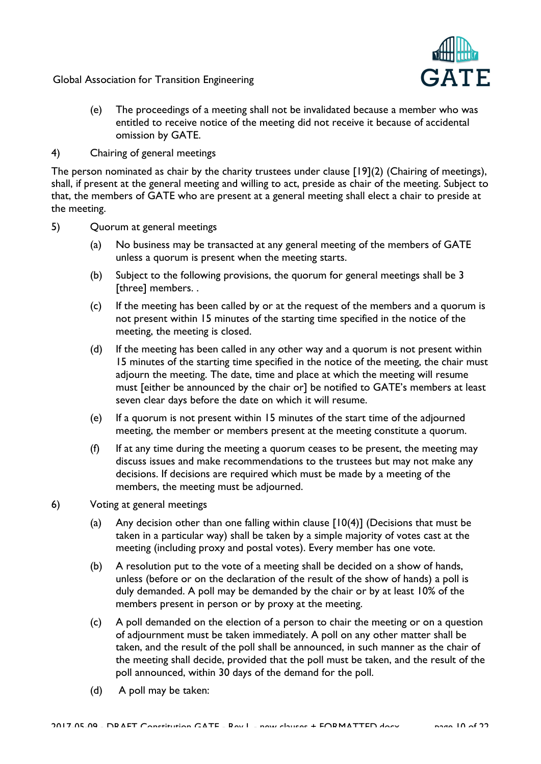- (e) The proceedings of a meeting shall not be invalidated because a member who was entitled to receive notice of the meeting did not receive it because of accidental omission by GATE.
- 4) Chairing of general meetings

The person nominated as chair by the charity trustees under clause [19](2) (Chairing of meetings), shall, if present at the general meeting and willing to act, preside as chair of the meeting. Subject to that, the members of GATE who are present at a general meeting shall elect a chair to preside at the meeting.

- 5) Quorum at general meetings
	- (a) No business may be transacted at any general meeting of the members of GATE unless a quorum is present when the meeting starts.
	- (b) Subject to the following provisions, the quorum for general meetings shall be 3 [three] members..
	- (c) If the meeting has been called by or at the request of the members and a quorum is not present within 15 minutes of the starting time specified in the notice of the meeting, the meeting is closed.
	- (d) If the meeting has been called in any other way and a quorum is not present within 15 minutes of the starting time specified in the notice of the meeting, the chair must adjourn the meeting. The date, time and place at which the meeting will resume must [either be announced by the chair or] be notified to GATE's members at least seven clear days before the date on which it will resume.
	- (e) If a quorum is not present within 15 minutes of the start time of the adjourned meeting, the member or members present at the meeting constitute a quorum.
	- (f) If at any time during the meeting a quorum ceases to be present, the meeting may discuss issues and make recommendations to the trustees but may not make any decisions. If decisions are required which must be made by a meeting of the members, the meeting must be adjourned.
- 6) Voting at general meetings
	- (a) Any decision other than one falling within clause [10(4)] (Decisions that must be taken in a particular way) shall be taken by a simple majority of votes cast at the meeting (including proxy and postal votes). Every member has one vote.
	- (b) A resolution put to the vote of a meeting shall be decided on a show of hands, unless (before or on the declaration of the result of the show of hands) a poll is duly demanded. A poll may be demanded by the chair or by at least 10% of the members present in person or by proxy at the meeting.
	- (c) A poll demanded on the election of a person to chair the meeting or on a question of adjournment must be taken immediately. A poll on any other matter shall be taken, and the result of the poll shall be announced, in such manner as the chair of the meeting shall decide, provided that the poll must be taken, and the result of the poll announced, within 30 days of the demand for the poll.
	- (d) A poll may be taken: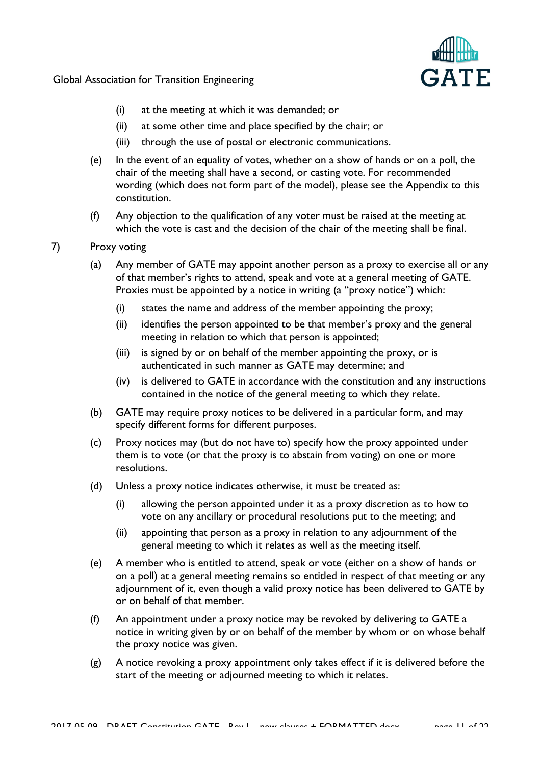

- (i) at the meeting at which it was demanded; or
- (ii) at some other time and place specified by the chair; or
- (iii) through the use of postal or electronic communications.
- (e) In the event of an equality of votes, whether on a show of hands or on a poll, the chair of the meeting shall have a second, or casting vote. For recommended wording (which does not form part of the model), please see the Appendix to this constitution.
- (f) Any objection to the qualification of any voter must be raised at the meeting at which the vote is cast and the decision of the chair of the meeting shall be final.

#### 7) Proxy voting

- (a) Any member of GATE may appoint another person as a proxy to exercise all or any of that member's rights to attend, speak and vote at a general meeting of GATE. Proxies must be appointed by a notice in writing (a "proxy notice") which:
	- (i) states the name and address of the member appointing the proxy;
	- (ii) identifies the person appointed to be that member's proxy and the general meeting in relation to which that person is appointed;
	- (iii) is signed by or on behalf of the member appointing the proxy, or is authenticated in such manner as GATE may determine; and
	- (iv) is delivered to GATE in accordance with the constitution and any instructions contained in the notice of the general meeting to which they relate.
- (b) GATE may require proxy notices to be delivered in a particular form, and may specify different forms for different purposes.
- (c) Proxy notices may (but do not have to) specify how the proxy appointed under them is to vote (or that the proxy is to abstain from voting) on one or more resolutions.
- (d) Unless a proxy notice indicates otherwise, it must be treated as:
	- (i) allowing the person appointed under it as a proxy discretion as to how to vote on any ancillary or procedural resolutions put to the meeting; and
	- (ii) appointing that person as a proxy in relation to any adjournment of the general meeting to which it relates as well as the meeting itself.
- (e) A member who is entitled to attend, speak or vote (either on a show of hands or on a poll) at a general meeting remains so entitled in respect of that meeting or any adjournment of it, even though a valid proxy notice has been delivered to GATE by or on behalf of that member.
- (f) An appointment under a proxy notice may be revoked by delivering to GATE a notice in writing given by or on behalf of the member by whom or on whose behalf the proxy notice was given.
- (g) A notice revoking a proxy appointment only takes effect if it is delivered before the start of the meeting or adjourned meeting to which it relates.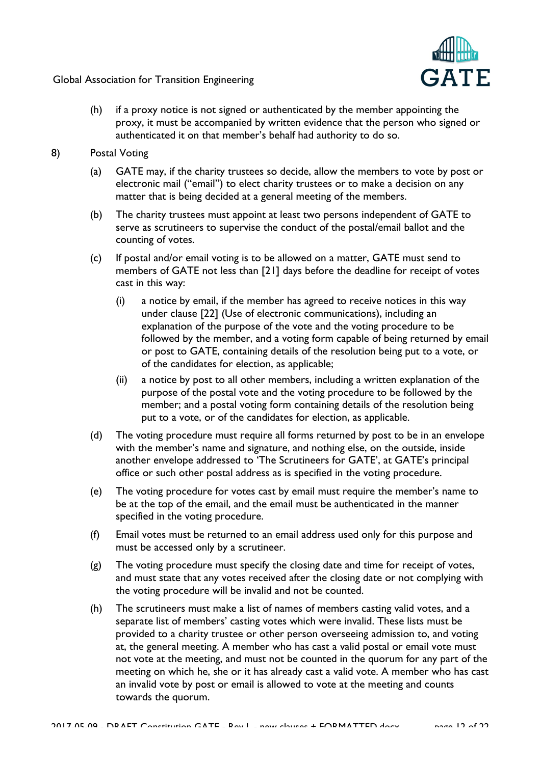

- (h) if a proxy notice is not signed or authenticated by the member appointing the proxy, it must be accompanied by written evidence that the person who signed or authenticated it on that member's behalf had authority to do so.
- 8) Postal Voting
	- (a) GATE may, if the charity trustees so decide, allow the members to vote by post or electronic mail ("email") to elect charity trustees or to make a decision on any matter that is being decided at a general meeting of the members.
	- (b) The charity trustees must appoint at least two persons independent of GATE to serve as scrutineers to supervise the conduct of the postal/email ballot and the counting of votes.
	- (c) If postal and/or email voting is to be allowed on a matter, GATE must send to members of GATE not less than [21] days before the deadline for receipt of votes cast in this way:
		- (i) a notice by email, if the member has agreed to receive notices in this way under clause [22] (Use of electronic communications), including an explanation of the purpose of the vote and the voting procedure to be followed by the member, and a voting form capable of being returned by email or post to GATE, containing details of the resolution being put to a vote, or of the candidates for election, as applicable;
		- (ii) a notice by post to all other members, including a written explanation of the purpose of the postal vote and the voting procedure to be followed by the member; and a postal voting form containing details of the resolution being put to a vote, or of the candidates for election, as applicable.
	- (d) The voting procedure must require all forms returned by post to be in an envelope with the member's name and signature, and nothing else, on the outside, inside another envelope addressed to 'The Scrutineers for GATE', at GATE's principal office or such other postal address as is specified in the voting procedure.
	- (e) The voting procedure for votes cast by email must require the member's name to be at the top of the email, and the email must be authenticated in the manner specified in the voting procedure.
	- (f) Email votes must be returned to an email address used only for this purpose and must be accessed only by a scrutineer.
	- (g) The voting procedure must specify the closing date and time for receipt of votes, and must state that any votes received after the closing date or not complying with the voting procedure will be invalid and not be counted.
	- (h) The scrutineers must make a list of names of members casting valid votes, and a separate list of members' casting votes which were invalid. These lists must be provided to a charity trustee or other person overseeing admission to, and voting at, the general meeting. A member who has cast a valid postal or email vote must not vote at the meeting, and must not be counted in the quorum for any part of the meeting on which he, she or it has already cast a valid vote. A member who has cast an invalid vote by post or email is allowed to vote at the meeting and counts towards the quorum.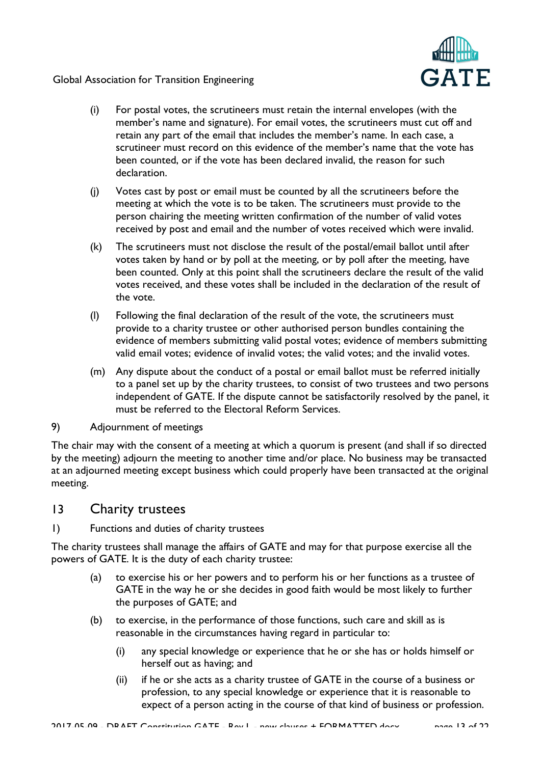

- (i) For postal votes, the scrutineers must retain the internal envelopes (with the member's name and signature). For email votes, the scrutineers must cut off and retain any part of the email that includes the member's name. In each case, a scrutineer must record on this evidence of the member's name that the vote has been counted, or if the vote has been declared invalid, the reason for such declaration.
- (j) Votes cast by post or email must be counted by all the scrutineers before the meeting at which the vote is to be taken. The scrutineers must provide to the person chairing the meeting written confirmation of the number of valid votes received by post and email and the number of votes received which were invalid.
- (k) The scrutineers must not disclose the result of the postal/email ballot until after votes taken by hand or by poll at the meeting, or by poll after the meeting, have been counted. Only at this point shall the scrutineers declare the result of the valid votes received, and these votes shall be included in the declaration of the result of the vote.
- (l) Following the final declaration of the result of the vote, the scrutineers must provide to a charity trustee or other authorised person bundles containing the evidence of members submitting valid postal votes; evidence of members submitting valid email votes; evidence of invalid votes; the valid votes; and the invalid votes.
- (m) Any dispute about the conduct of a postal or email ballot must be referred initially to a panel set up by the charity trustees, to consist of two trustees and two persons independent of GATE. If the dispute cannot be satisfactorily resolved by the panel, it must be referred to the Electoral Reform Services.
- 9) Adjournment of meetings

The chair may with the consent of a meeting at which a quorum is present (and shall if so directed by the meeting) adjourn the meeting to another time and/or place. No business may be transacted at an adjourned meeting except business which could properly have been transacted at the original meeting.

#### 13 Charity trustees

#### 1) Functions and duties of charity trustees

The charity trustees shall manage the affairs of GATE and may for that purpose exercise all the powers of GATE. It is the duty of each charity trustee:

- (a) to exercise his or her powers and to perform his or her functions as a trustee of GATE in the way he or she decides in good faith would be most likely to further the purposes of GATE; and
- (b) to exercise, in the performance of those functions, such care and skill as is reasonable in the circumstances having regard in particular to:
	- (i) any special knowledge or experience that he or she has or holds himself or herself out as having; and
	- (ii) if he or she acts as a charity trustee of GATE in the course of a business or profession, to any special knowledge or experience that it is reasonable to expect of a person acting in the course of that kind of business or profession.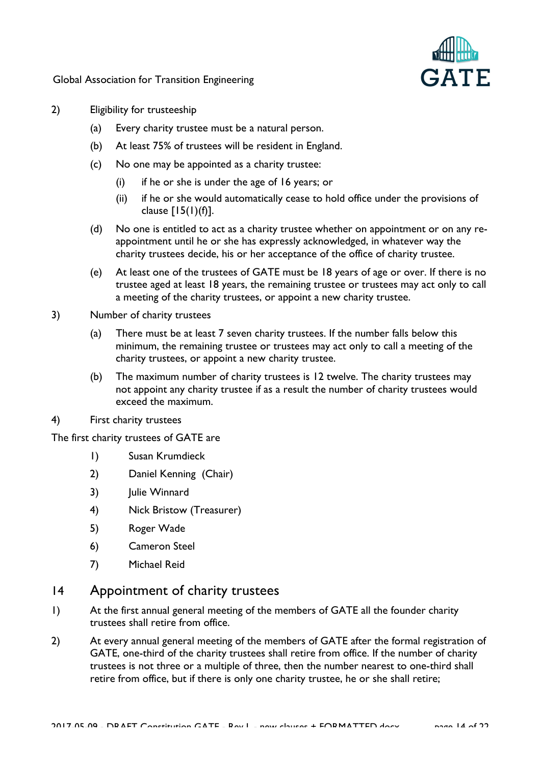

- 2) Eligibility for trusteeship
	- (a) Every charity trustee must be a natural person.
	- (b) At least 75% of trustees will be resident in England.
	- (c) No one may be appointed as a charity trustee:
		- (i) if he or she is under the age of 16 years; or
		- (ii) if he or she would automatically cease to hold office under the provisions of clause  $[15(1)(f)].$
	- (d) No one is entitled to act as a charity trustee whether on appointment or on any reappointment until he or she has expressly acknowledged, in whatever way the charity trustees decide, his or her acceptance of the office of charity trustee.
	- (e) At least one of the trustees of GATE must be 18 years of age or over. If there is no trustee aged at least 18 years, the remaining trustee or trustees may act only to call a meeting of the charity trustees, or appoint a new charity trustee.
- 3) Number of charity trustees
	- (a) There must be at least 7 seven charity trustees. If the number falls below this minimum, the remaining trustee or trustees may act only to call a meeting of the charity trustees, or appoint a new charity trustee.
	- (b) The maximum number of charity trustees is 12 twelve. The charity trustees may not appoint any charity trustee if as a result the number of charity trustees would exceed the maximum.
- 4) First charity trustees

The first charity trustees of GATE are

- 1) Susan Krumdieck
- 2) Daniel Kenning (Chair)
- 3) Julie Winnard
- 4) Nick Bristow (Treasurer)
- 5) Roger Wade
- 6) Cameron Steel
- 7) Michael Reid

#### 14 Appointment of charity trustees

- 1) At the first annual general meeting of the members of GATE all the founder charity trustees shall retire from office.
- 2) At every annual general meeting of the members of GATE after the formal registration of GATE, one-third of the charity trustees shall retire from office. If the number of charity trustees is not three or a multiple of three, then the number nearest to one-third shall retire from office, but if there is only one charity trustee, he or she shall retire;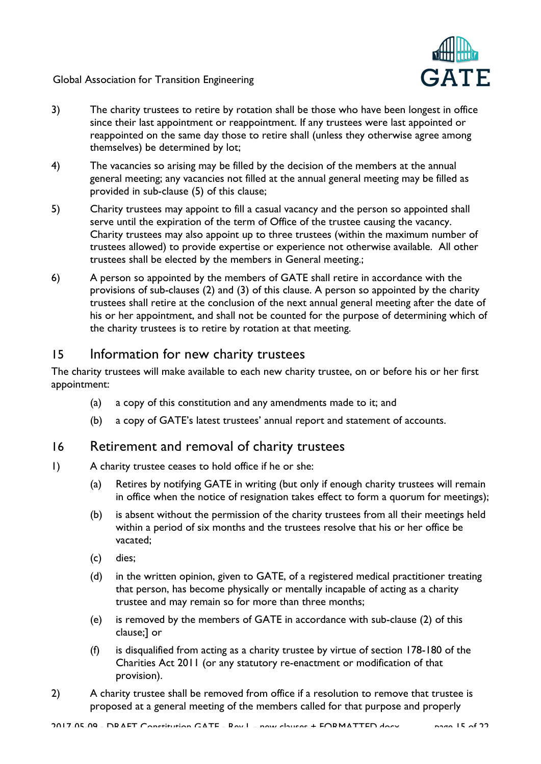- 3) The charity trustees to retire by rotation shall be those who have been longest in office since their last appointment or reappointment. If any trustees were last appointed or reappointed on the same day those to retire shall (unless they otherwise agree among themselves) be determined by lot;
- 4) The vacancies so arising may be filled by the decision of the members at the annual general meeting; any vacancies not filled at the annual general meeting may be filled as provided in sub-clause (5) of this clause;
- 5) Charity trustees may appoint to fill a casual vacancy and the person so appointed shall serve until the expiration of the term of Office of the trustee causing the vacancy. Charity trustees may also appoint up to three trustees (within the maximum number of trustees allowed) to provide expertise or experience not otherwise available. All other trustees shall be elected by the members in General meeting.;
- 6) A person so appointed by the members of GATE shall retire in accordance with the provisions of sub-clauses (2) and (3) of this clause. A person so appointed by the charity trustees shall retire at the conclusion of the next annual general meeting after the date of his or her appointment, and shall not be counted for the purpose of determining which of the charity trustees is to retire by rotation at that meeting.

## 15 Information for new charity trustees

The charity trustees will make available to each new charity trustee, on or before his or her first appointment:

- (a) a copy of this constitution and any amendments made to it; and
- (b) a copy of GATE's latest trustees' annual report and statement of accounts.

## 16 Retirement and removal of charity trustees

- 1) A charity trustee ceases to hold office if he or she:
	- (a) Retires by notifying GATE in writing (but only if enough charity trustees will remain in office when the notice of resignation takes effect to form a quorum for meetings);
	- (b) is absent without the permission of the charity trustees from all their meetings held within a period of six months and the trustees resolve that his or her office be vacated;
	- (c) dies;
	- (d) in the written opinion, given to GATE, of a registered medical practitioner treating that person, has become physically or mentally incapable of acting as a charity trustee and may remain so for more than three months;
	- (e) is removed by the members of GATE in accordance with sub-clause (2) of this clause;] or
	- (f) is disqualified from acting as a charity trustee by virtue of section 178-180 of the Charities Act 2011 (or any statutory re-enactment or modification of that provision).
- 2) A charity trustee shall be removed from office if a resolution to remove that trustee is proposed at a general meeting of the members called for that purpose and properly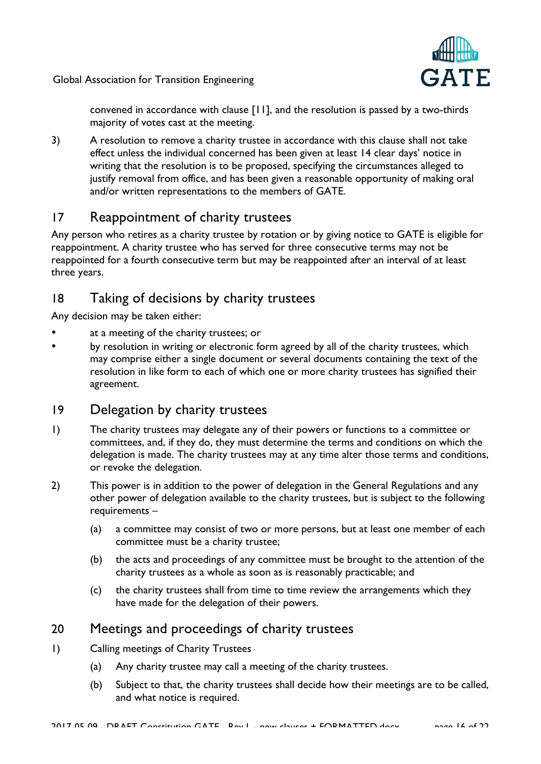

convened in accordance with clause [11], and the resolution is passed by a two-thirds majority of votes cast at the meeting.

3) A resolution to remove a charity trustee in accordance with this clause shall not take effect unless the individual concerned has been given at least 14 clear days' notice in writing that the resolution is to be proposed, specifying the circumstances alleged to justify removal from office, and has been given a reasonable opportunity of making oral and/or written representations to the members of GATE.

## 17 Reappointment of charity trustees

Any person who retires as a charity trustee by rotation or by giving notice to GATE is eligible for reappointment. A charity trustee who has served for three consecutive terms may not be reappointed for a fourth consecutive term but may be reappointed after an interval of at least three years.

## 18 Taking of decisions by charity trustees

Any decision may be taken either:

- at a meeting of the charity trustees; or
- by resolution in writing or electronic form agreed by all of the charity trustees, which may comprise either a single document or several documents containing the text of the resolution in like form to each of which one or more charity trustees has signified their agreement.

## 19 Delegation by charity trustees

- 1) The charity trustees may delegate any of their powers or functions to a committee or committees, and, if they do, they must determine the terms and conditions on which the delegation is made. The charity trustees may at any time alter those terms and conditions, or revoke the delegation.
- 2) This power is in addition to the power of delegation in the General Regulations and any other power of delegation available to the charity trustees, but is subject to the following requirements –
	- (a) a committee may consist of two or more persons, but at least one member of each committee must be a charity trustee;
	- (b) the acts and proceedings of any committee must be brought to the attention of the charity trustees as a whole as soon as is reasonably practicable; and
	- (c) the charity trustees shall from time to time review the arrangements which they have made for the delegation of their powers.

## 20 Meetings and proceedings of charity trustees

- 1) Calling meetings of Charity Trustees
	- (a) Any charity trustee may call a meeting of the charity trustees.
	- (b) Subject to that, the charity trustees shall decide how their meetings are to be called, and what notice is required.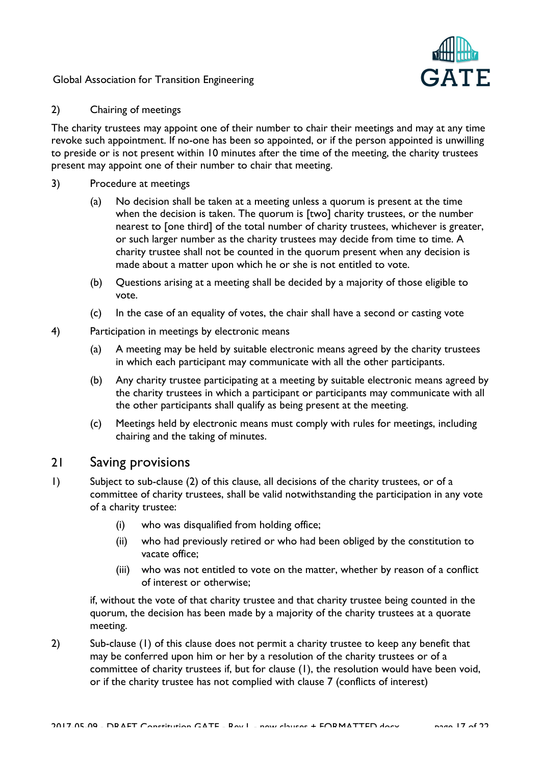

#### 2) Chairing of meetings

The charity trustees may appoint one of their number to chair their meetings and may at any time revoke such appointment. If no-one has been so appointed, or if the person appointed is unwilling to preside or is not present within 10 minutes after the time of the meeting, the charity trustees present may appoint one of their number to chair that meeting.

- 3) Procedure at meetings
	- (a) No decision shall be taken at a meeting unless a quorum is present at the time when the decision is taken. The quorum is [two] charity trustees, or the number nearest to [one third] of the total number of charity trustees, whichever is greater, or such larger number as the charity trustees may decide from time to time. A charity trustee shall not be counted in the quorum present when any decision is made about a matter upon which he or she is not entitled to vote.
	- (b) Questions arising at a meeting shall be decided by a majority of those eligible to vote.
	- (c) In the case of an equality of votes, the chair shall have a second or casting vote
- 4) Participation in meetings by electronic means
	- (a) A meeting may be held by suitable electronic means agreed by the charity trustees in which each participant may communicate with all the other participants.
	- (b) Any charity trustee participating at a meeting by suitable electronic means agreed by the charity trustees in which a participant or participants may communicate with all the other participants shall qualify as being present at the meeting.
	- (c) Meetings held by electronic means must comply with rules for meetings, including chairing and the taking of minutes.

## 21 Saving provisions

- 1) Subject to sub-clause (2) of this clause, all decisions of the charity trustees, or of a committee of charity trustees, shall be valid notwithstanding the participation in any vote of a charity trustee:
	- (i) who was disqualified from holding office;
	- (ii) who had previously retired or who had been obliged by the constitution to vacate office;
	- (iii) who was not entitled to vote on the matter, whether by reason of a conflict of interest or otherwise;

if, without the vote of that charity trustee and that charity trustee being counted in the quorum, the decision has been made by a majority of the charity trustees at a quorate meeting.

2) Sub-clause (1) of this clause does not permit a charity trustee to keep any benefit that may be conferred upon him or her by a resolution of the charity trustees or of a committee of charity trustees if, but for clause (1), the resolution would have been void, or if the charity trustee has not complied with clause 7 (conflicts of interest)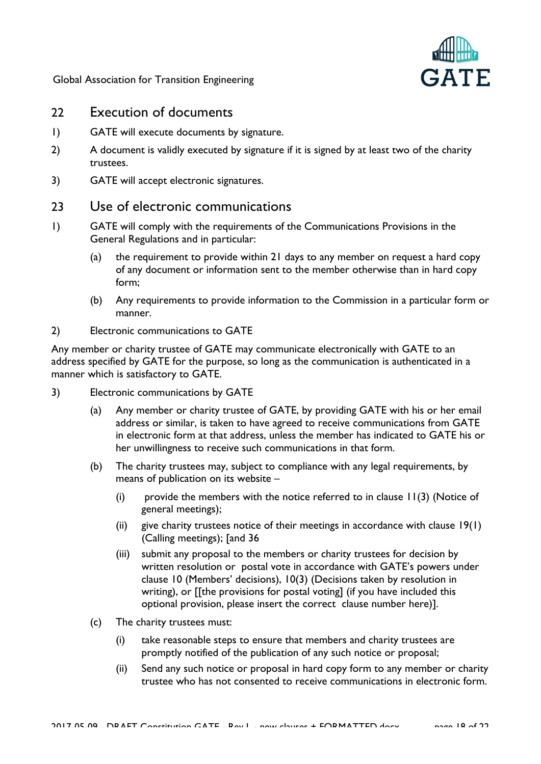

## 22 Execution of documents

- 1) GATE will execute documents by signature.
- 2) A document is validly executed by signature if it is signed by at least two of the charity trustees.
- 3) GATE will accept electronic signatures.

## 23 Use of electronic communications

- 1) GATE will comply with the requirements of the Communications Provisions in the General Regulations and in particular:
	- (a) the requirement to provide within 21 days to any member on request a hard copy of any document or information sent to the member otherwise than in hard copy form;
	- (b) Any requirements to provide information to the Commission in a particular form or manner.
- 2) Electronic communications to GATE

Any member or charity trustee of GATE may communicate electronically with GATE to an address specified by GATE for the purpose, so long as the communication is authenticated in a manner which is satisfactory to GATE.

- 3) Electronic communications by GATE
	- (a) Any member or charity trustee of GATE, by providing GATE with his or her email address or similar, is taken to have agreed to receive communications from GATE in electronic form at that address, unless the member has indicated to GATE his or her unwillingness to receive such communications in that form.
	- (b) The charity trustees may, subject to compliance with any legal requirements, by means of publication on its website –
		- (i) provide the members with the notice referred to in clause  $11(3)$  (Notice of general meetings);
		- (ii) give charity trustees notice of their meetings in accordance with clause 19(1) (Calling meetings); [and 36
		- (iii) submit any proposal to the members or charity trustees for decision by written resolution or postal vote in accordance with GATE's powers under clause 10 (Members' decisions), 10(3) (Decisions taken by resolution in writing), or [[the provisions for postal voting] (if you have included this optional provision, please insert the correct clause number here)].
	- (c) The charity trustees must:
		- (i) take reasonable steps to ensure that members and charity trustees are promptly notified of the publication of any such notice or proposal;
		- (ii) Send any such notice or proposal in hard copy form to any member or charity trustee who has not consented to receive communications in electronic form.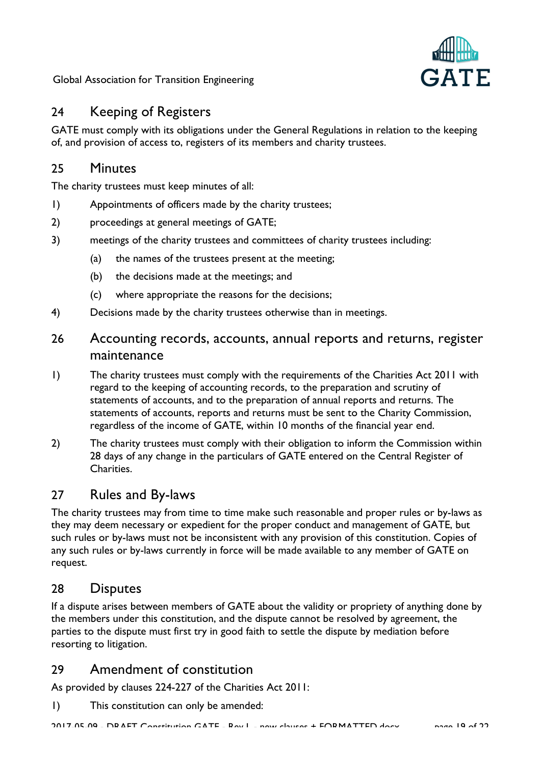

## 24 Keeping of Registers

GATE must comply with its obligations under the General Regulations in relation to the keeping of, and provision of access to, registers of its members and charity trustees.

## 25 Minutes

The charity trustees must keep minutes of all:

- 1) Appointments of officers made by the charity trustees;
- 2) proceedings at general meetings of GATE;
- 3) meetings of the charity trustees and committees of charity trustees including:
	- (a) the names of the trustees present at the meeting;
	- (b) the decisions made at the meetings; and
	- (c) where appropriate the reasons for the decisions;
- 4) Decisions made by the charity trustees otherwise than in meetings.
- 26 Accounting records, accounts, annual reports and returns, register maintenance
- 1) The charity trustees must comply with the requirements of the Charities Act 2011 with regard to the keeping of accounting records, to the preparation and scrutiny of statements of accounts, and to the preparation of annual reports and returns. The statements of accounts, reports and returns must be sent to the Charity Commission, regardless of the income of GATE, within 10 months of the financial year end.
- 2) The charity trustees must comply with their obligation to inform the Commission within 28 days of any change in the particulars of GATE entered on the Central Register of Charities.

## 27 Rules and By-laws

The charity trustees may from time to time make such reasonable and proper rules or by-laws as they may deem necessary or expedient for the proper conduct and management of GATE, but such rules or by-laws must not be inconsistent with any provision of this constitution. Copies of any such rules or by-laws currently in force will be made available to any member of GATE on request.

## 28 Disputes

If a dispute arises between members of GATE about the validity or propriety of anything done by the members under this constitution, and the dispute cannot be resolved by agreement, the parties to the dispute must first try in good faith to settle the dispute by mediation before resorting to litigation.

## 29 Amendment of constitution

As provided by clauses 224-227 of the Charities Act 2011:

1) This constitution can only be amended: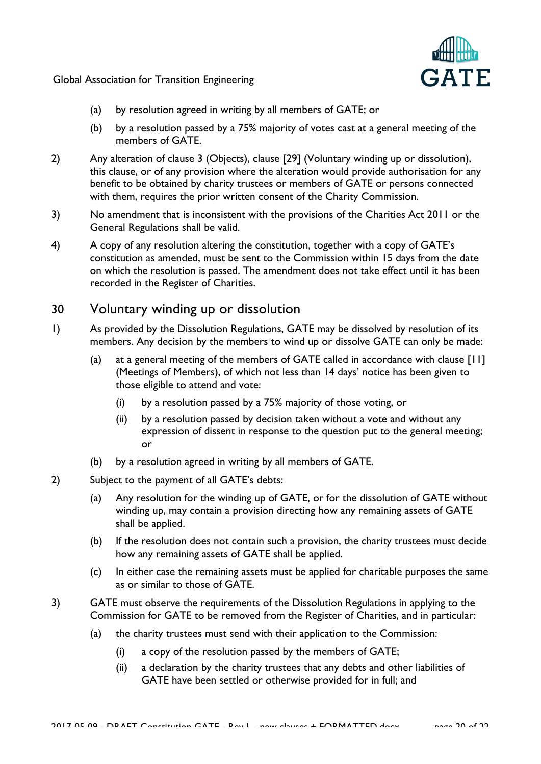- (a) by resolution agreed in writing by all members of GATE; or
- (b) by a resolution passed by a 75% majority of votes cast at a general meeting of the members of GATE.
- 2) Any alteration of clause 3 (Objects), clause [29] (Voluntary winding up or dissolution), this clause, or of any provision where the alteration would provide authorisation for any benefit to be obtained by charity trustees or members of GATE or persons connected with them, requires the prior written consent of the Charity Commission.
- 3) No amendment that is inconsistent with the provisions of the Charities Act 2011 or the General Regulations shall be valid.
- 4) A copy of any resolution altering the constitution, together with a copy of GATE's constitution as amended, must be sent to the Commission within 15 days from the date on which the resolution is passed. The amendment does not take effect until it has been recorded in the Register of Charities.

## 30 Voluntary winding up or dissolution

- 1) As provided by the Dissolution Regulations, GATE may be dissolved by resolution of its members. Any decision by the members to wind up or dissolve GATE can only be made:
	- (a) at a general meeting of the members of GATE called in accordance with clause [11] (Meetings of Members), of which not less than 14 days' notice has been given to those eligible to attend and vote:
		- (i) by a resolution passed by a 75% majority of those voting, or
		- (ii) by a resolution passed by decision taken without a vote and without any expression of dissent in response to the question put to the general meeting; or
	- (b) by a resolution agreed in writing by all members of GATE.
- 2) Subject to the payment of all GATE's debts:
	- (a) Any resolution for the winding up of GATE, or for the dissolution of GATE without winding up, may contain a provision directing how any remaining assets of GATE shall be applied.
	- (b) If the resolution does not contain such a provision, the charity trustees must decide how any remaining assets of GATE shall be applied.
	- (c) In either case the remaining assets must be applied for charitable purposes the same as or similar to those of GATE.
- 3) GATE must observe the requirements of the Dissolution Regulations in applying to the Commission for GATE to be removed from the Register of Charities, and in particular:
	- (a) the charity trustees must send with their application to the Commission:
		- (i) a copy of the resolution passed by the members of GATE;
		- (ii) a declaration by the charity trustees that any debts and other liabilities of GATE have been settled or otherwise provided for in full; and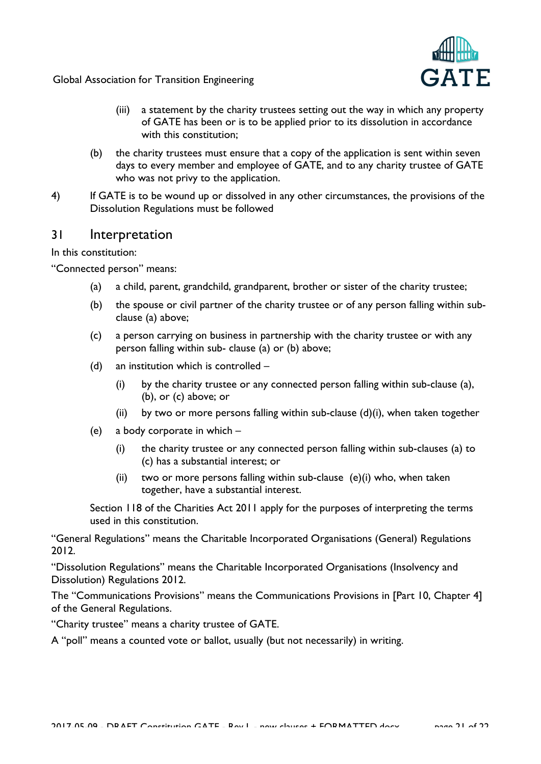- (iii) a statement by the charity trustees setting out the way in which any property of GATE has been or is to be applied prior to its dissolution in accordance with this constitution;
- (b) the charity trustees must ensure that a copy of the application is sent within seven days to every member and employee of GATE, and to any charity trustee of GATE who was not privy to the application.
- 4) If GATE is to be wound up or dissolved in any other circumstances, the provisions of the Dissolution Regulations must be followed

### 31 Interpretation

In this constitution:

"Connected person" means:

- (a) a child, parent, grandchild, grandparent, brother or sister of the charity trustee;
- (b) the spouse or civil partner of the charity trustee or of any person falling within subclause (a) above;
- (c) a person carrying on business in partnership with the charity trustee or with any person falling within sub- clause (a) or (b) above;
- (d) an institution which is controlled
	- (i) by the charity trustee or any connected person falling within sub-clause (a), (b), or (c) above; or
	- (ii) by two or more persons falling within sub-clause  $(d)(i)$ , when taken together
- (e) a body corporate in which
	- (i) the charity trustee or any connected person falling within sub-clauses (a) to (c) has a substantial interest; or
	- (ii) two or more persons falling within sub-clause (e)(i) who, when taken together, have a substantial interest.

Section 118 of the Charities Act 2011 apply for the purposes of interpreting the terms used in this constitution.

"General Regulations" means the Charitable Incorporated Organisations (General) Regulations 2012.

"Dissolution Regulations" means the Charitable Incorporated Organisations (Insolvency and Dissolution) Regulations 2012.

The "Communications Provisions" means the Communications Provisions in [Part 10, Chapter 4] of the General Regulations.

"Charity trustee" means a charity trustee of GATE.

A "poll" means a counted vote or ballot, usually (but not necessarily) in writing.